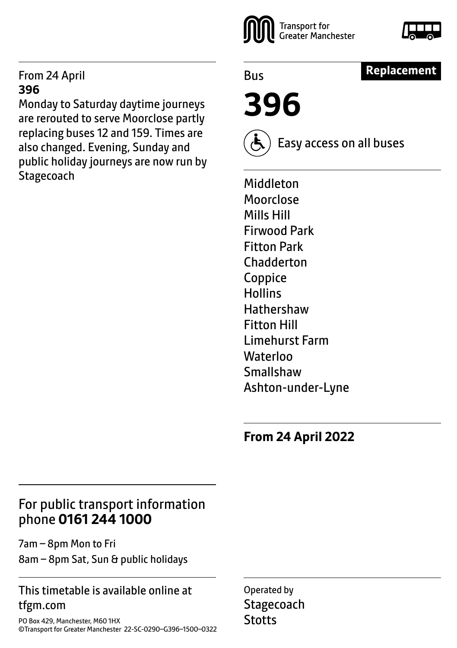#### From 24 April **396**

Monday to Saturday daytime journeys are rerouted to serve Moorclose partly replacing buses 12 and 159. Times are also changed. Evening, Sunday and public holiday journeys are now run by **Stagecoach** 





**Replacement**

Bus

**396**

Easy access on all buses

Middleton Moorclose Mills Hill Firwood Park Fitton Park **Chadderton** Coppice **Hollins Hathershaw** Fitton Hill Limehurst Farm **Waterloo** Smallshaw Ashton-under-Lyne

**From 24 April 2022**

## For public transport information phone **0161 244 1000**

7am – 8pm Mon to Fri

8am – 8pm Sat, Sun & public holidays

#### This timetable is available online at tfgm.com

PO Box 429, Manchester, M60 1HX ©Transport for Greater Manchester 22-SC-0290–G396–1500–0322

Operated by **Stagecoach Stotts**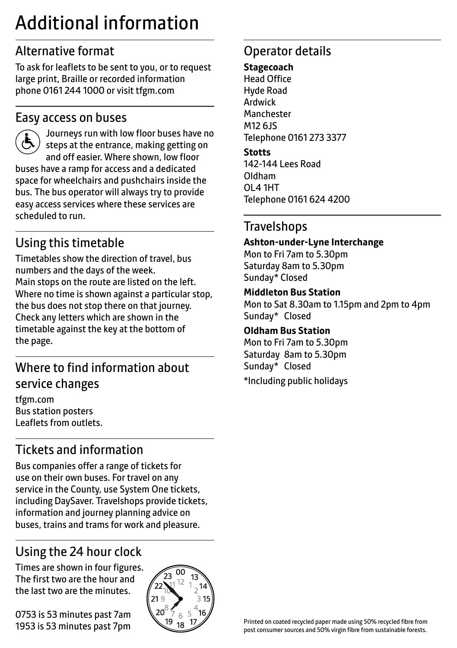# Additional information

## Alternative format

To ask for leaflets to be sent to you, or to request large print, Braille or recorded information phone 0161 244 1000 or visit tfgm.com

### Easy access on buses

 Journeys run with low floor buses have no steps at the entrance, making getting on and off easier. Where shown, low floor buses have a ramp for access and a dedicated space for wheelchairs and pushchairs inside the bus. The bus operator will always try to provide easy access services where these services are scheduled to run.

## Using this timetable

Timetables show the direction of travel, bus numbers and the days of the week. Main stops on the route are listed on the left. Where no time is shown against a particular stop, the bus does not stop there on that journey. Check any letters which are shown in the timetable against the key at the bottom of the page.

## Where to find information about service changes

tfgm.com Bus station posters Leaflets from outlets.

## Tickets and information

Bus companies offer a range of tickets for use on their own buses. For travel on any service in the County, use System One tickets, including DaySaver. Travelshops provide tickets, information and journey planning advice on buses, trains and trams for work and pleasure.

## Using the 24 hour clock

Times are shown in four figures. The first two are the hour and the last two are the minutes.

0753 is 53 minutes past 7am 1953 is 53 minutes past 7pm



## Operator details

#### **Stagecoach**

Head Office Hyde Road Ardwick **Manchester** M12 6JS Telephone 0161 273 3377

#### **Stotts**

142-144 Lees Road Oldham OL4 1HT Telephone 0161 624 4200

### **Travelshops**

#### **Ashton-under-Lyne Interchange**

Mon to Fri 7am to 5.30pm Saturday 8am to 5.30pm Sunday\* Closed

#### **Middleton Bus Station**

Mon to Sat 8.30am to 1.15pm and 2pm to 4pm Sunday\* Closed

#### **Oldham Bus Station**

Mon to Fri 7am to 5.30pm Saturday 8am to 5.30pm Sunday\* Closed \*Including public holidays

Printed on coated recycled paper made using 50% recycled fibre from post consumer sources and 50% virgin fibre from sustainable forests.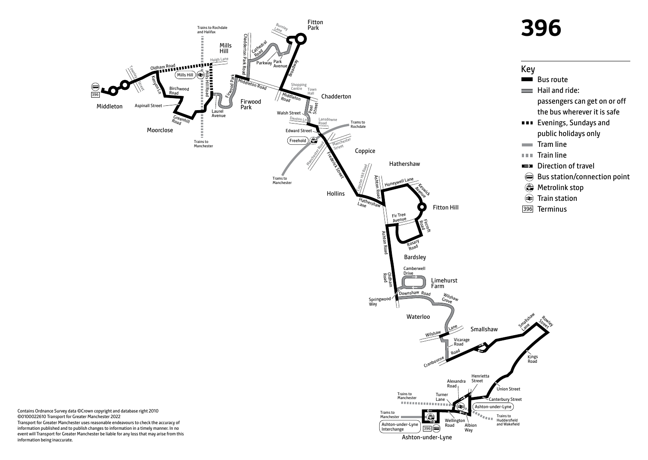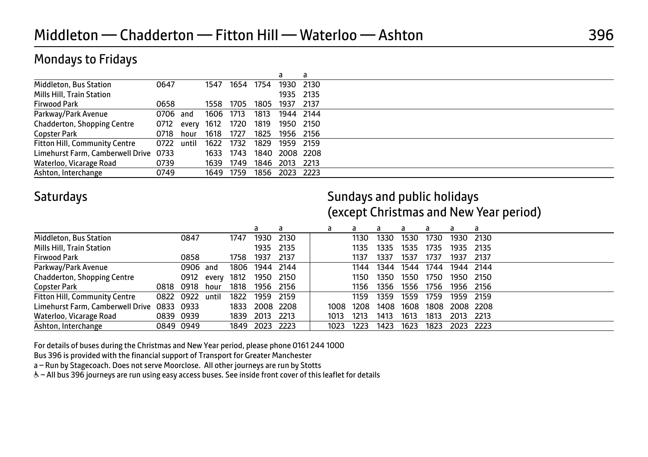#### Mondays to Fridays

|                                       |            |       |           |           |      |           | а    |  |
|---------------------------------------|------------|-------|-----------|-----------|------|-----------|------|--|
| Middleton, Bus Station                | 0647       |       | 1547      | 1654      | 1754 | 1930      | 2130 |  |
| Mills Hill, Train Station             |            |       |           |           |      | 1935 2135 |      |  |
| <b>Firwood Park</b>                   | 0658       |       | 1558      | 1705      | 1805 | 1937      | 2137 |  |
| Parkway/Park Avenue                   | 0706 and   |       | 1606 1713 |           | 1813 | 1944 2144 |      |  |
| Chadderton, Shopping Centre           | 0712       | every | 1612      | 1720      | 1819 | 1950      | 2150 |  |
| Copster Park                          | 0718       | hour  | 1618      | 1727      | 1825 | 1956 2156 |      |  |
| <b>Fitton Hill, Community Centre</b>  | 0722 until |       | 1622      | 1732      | 1829 | 1959      | 2159 |  |
| Limehurst Farm, Camberwell Drive 0733 |            |       | 1633      | 1743      | 1840 | 2008 2208 |      |  |
| Waterloo, Vicarage Road               | 0739       |       |           | 1639 1749 | 1846 | 2013      | 2213 |  |
| Ashton, Interchange                   | 0749       |       | 1649 1759 |           | 1856 | 2023 2223 |      |  |

Saturdays **Saturdays** Sundays and public holidays (except Christmas and New Year period)

|                                            |      |           |       |      | d    | a         | a    | а    | a    |      | a    | a    | a         |
|--------------------------------------------|------|-----------|-------|------|------|-----------|------|------|------|------|------|------|-----------|
| Middleton, Bus Station                     |      | 0847      |       | 1747 | 1930 | 2130      |      | 1130 | 1330 | 1530 | 1730 | 1930 | 2130      |
| Mills Hill, Train Station                  |      |           |       |      | 1935 | 2135      |      | 1135 | 1335 | 1535 | 1735 | 1935 | 2135      |
| <b>Firwood Park</b>                        |      | 0858      |       | 1758 | 1937 | 2137      |      | 1137 | 1337 | 1537 | 1737 | 1937 | 2137      |
| Parkway/Park Avenue                        |      | 0906      | and   | 1806 | 1944 | 2144      |      | 1144 | 1344 | 1544 | 1744 |      | 1944 2144 |
| Chadderton, Shopping Centre                |      | 0912      | every | 1812 | 1950 | 2150      |      | 1150 | 1350 | 1550 | 1750 | 1950 | 2150      |
| Copster Park                               | 0818 | 0918      | hour  | 1818 | 1956 | 2156      |      | 1156 | 1356 | 1556 | 1756 | 1956 | 2156      |
| <b>Fitton Hill, Community Centre</b>       |      | 0822 0922 | until | 1822 | 1959 | 2159      |      | 1159 | 1359 | 1559 | 1759 | 1959 | 2159      |
| Limehurst Farm, Camberwell Drive 0833 0933 |      |           |       | 1833 |      | 2008 2208 | 1008 | 1208 | 1408 | 1608 | 1808 |      | 2008 2208 |
| Waterloo, Vicarage Road                    |      | 0839 0939 |       | 1839 | 2013 | 2213      | 1013 | 1213 | 1413 | 1613 | 1813 | 2013 | 2213      |
| Ashton, Interchange                        |      | 0849 0949 |       | 1849 | 2023 | 2223      | 1023 | 1223 | 1423 | 1623 | 1823 | 2023 | -2223     |

For details of buses during the Christmas and New Year period, please phone 0161 244 1000

Bus 396 is provided with the financial support of Transport for Greater Manchester

a – Run by Stagecoach. Does not serve Moorclose. All other journeys are run by Stotts

W– All bus 396 journeys are run using easy access buses. See inside front cover of this leaflet for details